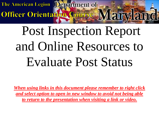Officer Orientation Course Maryland

## Post Inspection Report and Online Resources to Evaluate Post Status

*When using links in this document please remember to right click and select option to open in new window to avoid not being able to return to the presentation when visiting a link or video.*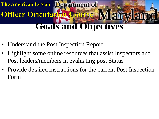## **Goals and Objectives**

• Understand the Post Inspection Report

Officer Orientation Course

- Highlight some online resources that assist Inspectors and Post leaders/members in evaluating post Status
- Provide detailed instructions for the current Post Inspection Form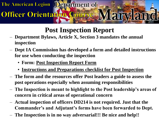## **Post Inspection Report**

- **Department Bylaws, Article X, Section 3 mandates the annual inspection**
- **Dept IA Commission has developed a form and detailed instructions for use when conducting the inspection**
	- **Form: [Post Inspection Report Form](http://mdlegion.org/Forms/County Commanders Report.pdf)**

Officer Orientation Course

- **[Instructions and Preparations checklist for Post Inspection](https://home.mycloud.com/action/share/cca89006-db77-404c-ba5e-4fbcd13750d2)**
- **The form and the resources offer Post leaders a guide to assess the post operations especially when assuming responsibilities**
- **The Inspection is meant to highlight to the Post leadership's areas of concern in critical areas of operational concern**
- **Actual inspection of officers DD214 is not required. Just that the Commander's and Adjutant's forms have been forwarded to Dept.**
- **The Inspection is in no way adversarial!!! Be nice and help!!**